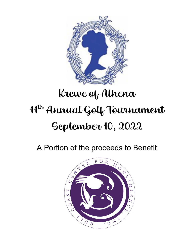

A Portion of the proceeds to Benefit

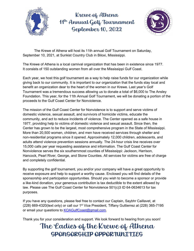



The Krewe of Athena will host its 11th annual Golf Tournament on Saturday, September 10, 2021, at Sunkist Country Club in Biloxi, Mississippi.

The Krewe of Athena is a local carnival organization that has been in existence since 1977. It consists of 150 outstanding women from all over the Mississippi Gulf Coast.

Each year, we host this golf tournament as a way to help raise funds for our organization while giving back to our community. It is important to our organization that the funds stay local and benefit an organization dear to the heart of the women in our Krewe. Last year's Golf Tournament was a tremendous success allowing us to donate a total of \$6,000 to The Ansley Foundation. This year, for the 11th Annual Golf Tournament, we will be donating a portion of the proceeds to the Gulf Coast Center for Nonviolence.

The mission of the Gulf Coast Center for Nonviolence is to support and serve victims of domestic violence, sexual assault, and survivors of homicide victims, educate the community, and act to reduce incidents of violence. The Center opened as a safe house in 1977, providing help to victims of domestic violence and sexual assault. Since then, the Center has grown to be the largest, most comprehensive program in the State of Mississippi. More than 20,500 women, children, and men have received services through shelter and non-residential programs since it opened. Approximately 12,000 children, adolescents, and adults attend violence prevention sessions annually. The 24-hour crisis line receives over 15,000 calls per year requesting assistance and information. The Gulf Coast Center for Nonviolence serves the six southernmost counties of Mississippi: Jackson, Harrison, Hancock, Pearl River, George, and Stone Counties. All services for victims are free of charge and completely confidential.

By supporting the golf tournament, you and/or your company will have a great opportunity to receive exposure and help to support a worthy cause. Enclosed you will find details of the sponsorship and participation opportunities. Should you wish to become a sponsor or provide a like-kind donation, your generous contribution is tax deductible to the extent allowed by law. Please use The Gulf Coast Center for Nonviolence 501(c)3 ID 64-0634613 for tax purposes.

If you have any questions, please feel free to contact our Captain, Saybhr Caillavet, at  $(228)$  669-4320(text only) or call our 1<sup>st</sup> Vice President, Tiffany Guttierrez at  $(228)$  365-7195 or email your questions to [KOAGulfCoast@gmail.com.](mailto:KOAGulfCoast@gmail.com)

Thank you for your consideration and support. We look forward to hearing from you soon!

# The Ladies of the Krewe of Athena SPONSORSHIP OPPORTUNITIES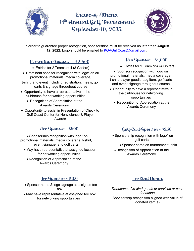



In order to guarantee proper recognition, sponsorships must be received no later than **August 12, 2022**. Logo should be emailed to [KOAGulfCoast@gmail.com](mailto:KOAGulfCoast@gmail.com).

#### Presenting Sponsor - \$2,500

- Entries for 2 Teams of 4 (8 Golfers)
- Prominent sponsor recognition with logo\* on all promotional materials, media coverage,
- t-shirt, and event including registration, meals, golf carts & signage throughout course
- Opportunity to have a representative in the clubhouse for networking opportunities
	- Recognition of Appreciation at the Awards Ceremony
- Opportunity to assist in Presentation of Check to Gulf Coast Center for Nonviolence & Player Awards

## Ace Sponsor - \$500

• Sponsorship recognition with logo\* on promotional materials, media coverage, t-shirt, event signage, and golf carts

- May have representative at assigned location for networking opportunities
	- Recognition of Appreciation at the Awards Ceremony

#### Tee Sponsor - \$100

- Sponsor name & logo signage at assigned tee box
- May have representative at assigned tee box for networking opportunities

#### Pro Sponsor - \$1,000

• Entries for 1 Team of 4 (4 Golfers)

• Sponsor recognition with logo on promotional materials, media coverage, t-shirt, player goodie bag item, golf carts and event signage throughout course

- Opportunity to have a representative in the clubhouse for networking opportunities
	- Recognition of Appreciation at the Awards Ceremony

## Golf Cart Sponsor - \$250

- Sponsorship recognition with logo\* on golf carts
	- Sponsor name on tournament t-shirt
- Recognition of Appreciation at the Awards Ceremony

#### In-Kind Donor

*Donations of in-kind goods or services or cash donations*. Sponsorship recognition aligned with value of donated item(s)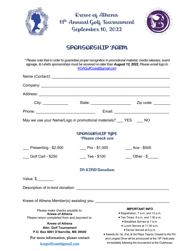



## SPONSORSHIP FORM

|                                                                        | KOAGulfCoast@gmail.com                              | * Please note that in order to guarantee proper recognition in promotional material, media releases, event<br>signage, & t-shirts sponsorships must be received no later than August 12, 2022. Please email logo to |  |
|------------------------------------------------------------------------|-----------------------------------------------------|---------------------------------------------------------------------------------------------------------------------------------------------------------------------------------------------------------------------|--|
|                                                                        |                                                     |                                                                                                                                                                                                                     |  |
|                                                                        |                                                     |                                                                                                                                                                                                                     |  |
|                                                                        |                                                     |                                                                                                                                                                                                                     |  |
|                                                                        |                                                     | City: ________________  State: ___________________________________Zip code: __________                                                                                                                              |  |
|                                                                        |                                                     |                                                                                                                                                                                                                     |  |
| May we use your Name/Logo in promotional materials? ___ YES __ NO      |                                                     |                                                                                                                                                                                                                     |  |
|                                                                        | <b>SPONSORSHIP TYPE</b><br><i>*Please check one</i> |                                                                                                                                                                                                                     |  |
| ___ Presenting - \$2,500                                               | $Pro - $1,000$                                      | $\frac{1}{2}$ Ace - \$500                                                                                                                                                                                           |  |
| <b>Colf Cart - \$250</b>                                               | Tee - \$100                                         | $\underline{\hspace{1cm}}$ Other - \$                                                                                                                                                                               |  |
|                                                                        | IN-KIND Donation                                    |                                                                                                                                                                                                                     |  |
| Value: $\frac{1}{2}$                                                   |                                                     |                                                                                                                                                                                                                     |  |
|                                                                        |                                                     |                                                                                                                                                                                                                     |  |
| Krewe of Athena Member(s) assisting you. ____                          |                                                     |                                                                                                                                                                                                                     |  |
| Please make checks payable to:<br><b>Krewe of Athena</b>               |                                                     | <b>IMPORTANT INFO</b><br>· Registration: 7 a.m. and 12 p.m.<br>• Tee Times: 8 a.m. and 1:30 p.m.                                                                                                                    |  |
| Please return completed form and payment to:<br><b>Krewe of Athena</b> |                                                     | • Breakfast Served at 7 a.m.<br>• Lunch Served at 11:30 a.m.                                                                                                                                                        |  |
| <b>Attn: Golf Tournament</b><br>P.O. Box 6861 D'Iberville, MS 39540    |                                                     | • Dinner Served at 6 p.m.<br>• Awards for 1st, 2nd, & 3rd Place Teams; Closest to the Pin;                                                                                                                          |  |
| For more information, please contact                                   |                                                     | and Longest Drive will be announced at the 19th Hole party                                                                                                                                                          |  |
| koagulfcoast@gmail.com                                                 |                                                     | immediately following the tournament at the Clubhouse.                                                                                                                                                              |  |